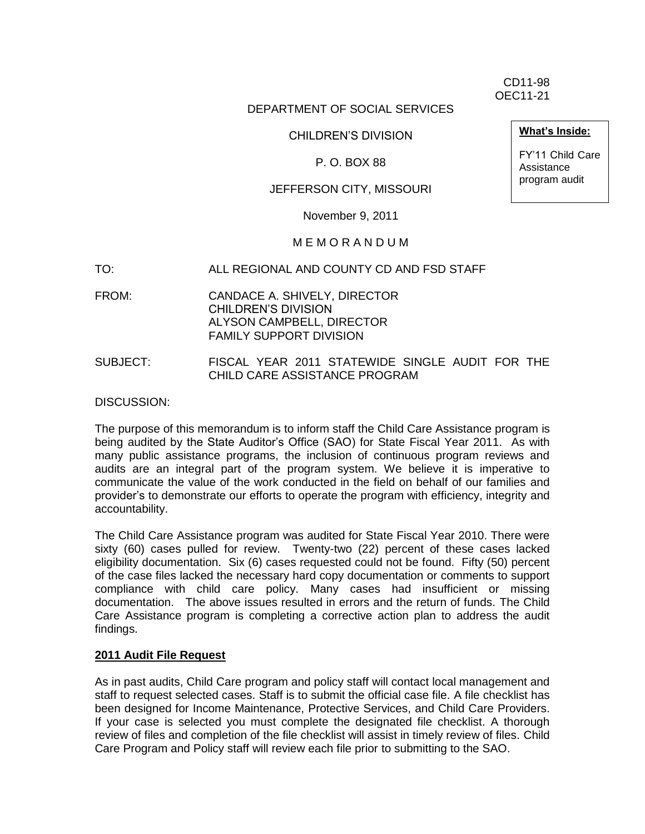CD11-98 OEC11-21

### DEPARTMENT OF SOCIAL SERVICES

CHILDREN'S DIVISION

#### P. O. BOX 88

### JEFFERSON CITY, MISSOURI

November 9, 2011

#### M E M O R A N D U M

- TO: ALL REGIONAL AND COUNTY CD AND FSD STAFF
- FROM: CANDACE A. SHIVELY, DIRECTOR CHILDREN'S DIVISION ALYSON CAMPBELL, DIRECTOR FAMILY SUPPORT DIVISION
- SUBJECT: FISCAL YEAR 2011 STATEWIDE SINGLE AUDIT FOR THE CHILD CARE ASSISTANCE PROGRAM

DISCUSSION:

The purpose of this memorandum is to inform staff the Child Care Assistance program is being audited by the State Auditor's Office (SAO) for State Fiscal Year 2011. As with many public assistance programs, the inclusion of continuous program reviews and audits are an integral part of the program system. We believe it is imperative to communicate the value of the work conducted in the field on behalf of our families and provider's to demonstrate our efforts to operate the program with efficiency, integrity and accountability.

The Child Care Assistance program was audited for State Fiscal Year 2010. There were sixty (60) cases pulled for review. Twenty-two (22) percent of these cases lacked eligibility documentation. Six (6) cases requested could not be found. Fifty (50) percent of the case files lacked the necessary hard copy documentation or comments to support compliance with child care policy. Many cases had insufficient or missing documentation. The above issues resulted in errors and the return of funds. The Child Care Assistance program is completing a corrective action plan to address the audit findings.

### **2011 Audit File Request**

As in past audits, Child Care program and policy staff will contact local management and staff to request selected cases. Staff is to submit the official case file. A file checklist has been designed for Income Maintenance, Protective Services, and Child Care Providers. If your case is selected you must complete the designated file checklist. A thorough review of files and completion of the file checklist will assist in timely review of files. Child Care Program and Policy staff will review each file prior to submitting to the SAO.

**What's Inside:**

FY'11 Child Care Assistance program audit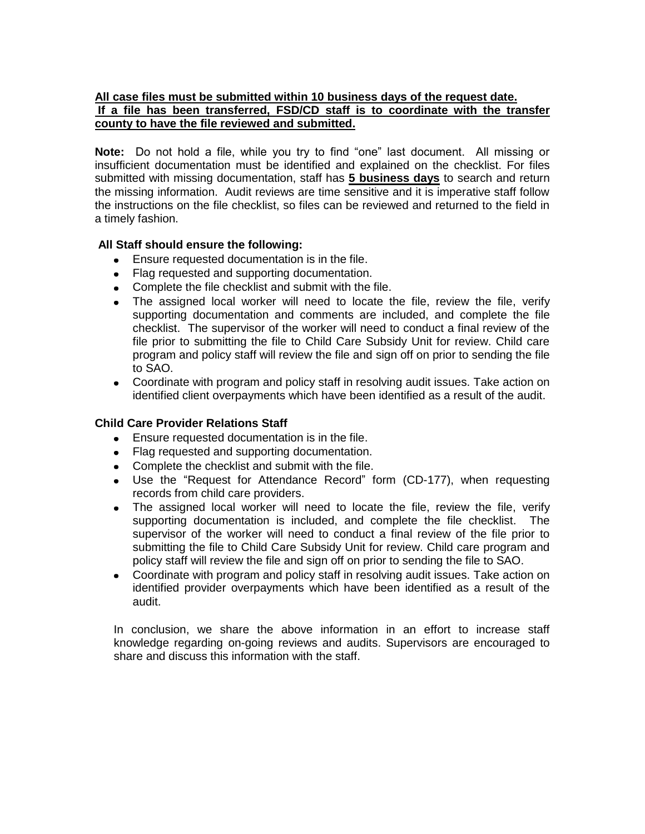### **All case files must be submitted within 10 business days of the request date. If a file has been transferred, FSD/CD staff is to coordinate with the transfer county to have the file reviewed and submitted.**

**Note:** Do not hold a file, while you try to find "one" last document. All missing or insufficient documentation must be identified and explained on the checklist. For files submitted with missing documentation, staff has **5 business days** to search and return the missing information. Audit reviews are time sensitive and it is imperative staff follow the instructions on the file checklist, so files can be reviewed and returned to the field in a timely fashion.

### **All Staff should ensure the following:**

- Ensure requested documentation is in the file.
- Flag requested and supporting documentation.
- Complete the file checklist and submit with the file.
- The assigned local worker will need to locate the file, review the file, verify supporting documentation and comments are included, and complete the file checklist. The supervisor of the worker will need to conduct a final review of the file prior to submitting the file to Child Care Subsidy Unit for review. Child care program and policy staff will review the file and sign off on prior to sending the file to SAO.
- Coordinate with program and policy staff in resolving audit issues. Take action on identified client overpayments which have been identified as a result of the audit.

### **Child Care Provider Relations Staff**

- Ensure requested documentation is in the file.
- Flag requested and supporting documentation.
- Complete the checklist and submit with the file.
- Use the "Request for Attendance Record" form (CD-177), when requesting records from child care providers.
- The assigned local worker will need to locate the file, review the file, verify supporting documentation is included, and complete the file checklist. The supervisor of the worker will need to conduct a final review of the file prior to submitting the file to Child Care Subsidy Unit for review. Child care program and policy staff will review the file and sign off on prior to sending the file to SAO.
- Coordinate with program and policy staff in resolving audit issues. Take action on identified provider overpayments which have been identified as a result of the audit.

In conclusion, we share the above information in an effort to increase staff knowledge regarding on-going reviews and audits. Supervisors are encouraged to share and discuss this information with the staff.